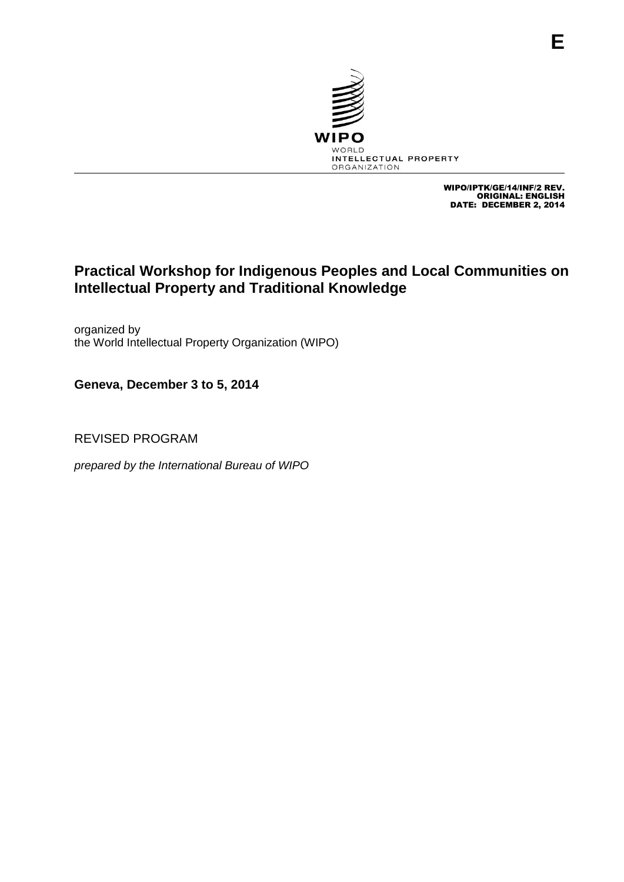

WIPO/IPTK/GE/14/INF/2 REV. ORIGINAL: ENGLISH. DATE: DECEMBER 2, 2014

## **Practical Workshop for Indigenous Peoples and Local Communities on Intellectual Property and Traditional Knowledge**

organized by the World Intellectual Property Organization (WIPO)

**Geneva, December 3 to 5, 2014**

REVISED PROGRAM

*prepared by the International Bureau of WIPO*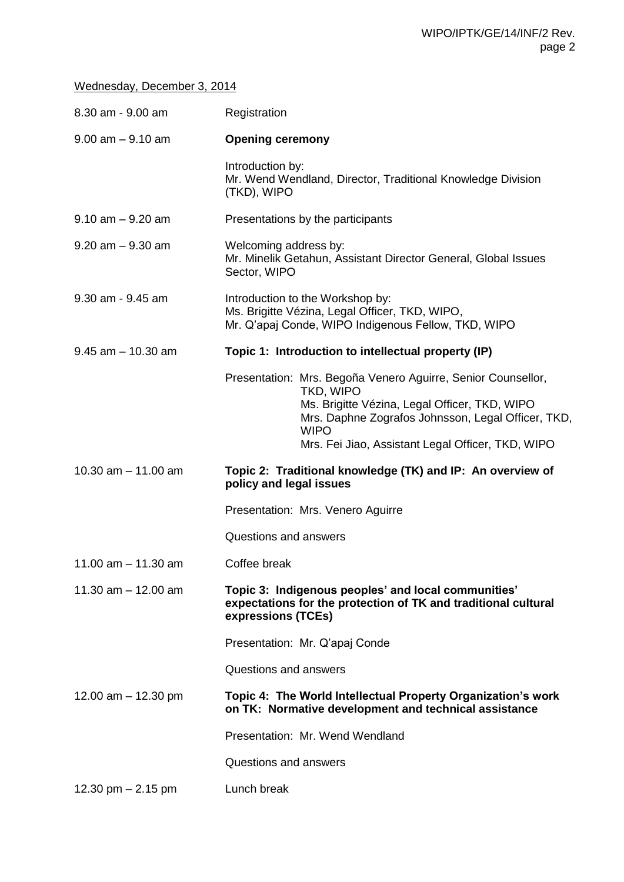## Wednesday, December 3, 2014

| 8.30 am - 9.00 am     | Registration                                                                                                                                                                                                                                         |
|-----------------------|------------------------------------------------------------------------------------------------------------------------------------------------------------------------------------------------------------------------------------------------------|
| $9.00$ am $-9.10$ am  | <b>Opening ceremony</b>                                                                                                                                                                                                                              |
|                       | Introduction by:<br>Mr. Wend Wendland, Director, Traditional Knowledge Division<br>(TKD), WIPO                                                                                                                                                       |
| $9.10$ am $-9.20$ am  | Presentations by the participants                                                                                                                                                                                                                    |
| $9.20$ am $-9.30$ am  | Welcoming address by:<br>Mr. Minelik Getahun, Assistant Director General, Global Issues<br>Sector, WIPO                                                                                                                                              |
| 9.30 am - 9.45 am     | Introduction to the Workshop by:<br>Ms. Brigitte Vézina, Legal Officer, TKD, WIPO,<br>Mr. Q'apaj Conde, WIPO Indigenous Fellow, TKD, WIPO                                                                                                            |
| $9.45$ am $-10.30$ am | Topic 1: Introduction to intellectual property (IP)                                                                                                                                                                                                  |
|                       | Presentation: Mrs. Begoña Venero Aguirre, Senior Counsellor,<br>TKD, WIPO<br>Ms. Brigitte Vézina, Legal Officer, TKD, WIPO<br>Mrs. Daphne Zografos Johnsson, Legal Officer, TKD,<br><b>WIPO</b><br>Mrs. Fei Jiao, Assistant Legal Officer, TKD, WIPO |
| 10.30 $am - 11.00$ am | Topic 2: Traditional knowledge (TK) and IP: An overview of<br>policy and legal issues                                                                                                                                                                |
|                       | Presentation: Mrs. Venero Aguirre                                                                                                                                                                                                                    |
|                       | Questions and answers                                                                                                                                                                                                                                |
| 11.00 $am - 11.30 am$ | Coffee break                                                                                                                                                                                                                                         |
| 11.30 $am - 12.00$ am | Topic 3: Indigenous peoples' and local communities'<br>expectations for the protection of TK and traditional cultural<br>expressions (TCEs)                                                                                                          |
|                       | Presentation: Mr. Q'apaj Conde                                                                                                                                                                                                                       |
|                       | Questions and answers                                                                                                                                                                                                                                |
| 12.00 am $-$ 12.30 pm | Topic 4: The World Intellectual Property Organization's work<br>on TK: Normative development and technical assistance                                                                                                                                |
|                       | Presentation: Mr. Wend Wendland                                                                                                                                                                                                                      |
|                       | Questions and answers                                                                                                                                                                                                                                |
| 12.30 pm $- 2.15$ pm  | Lunch break                                                                                                                                                                                                                                          |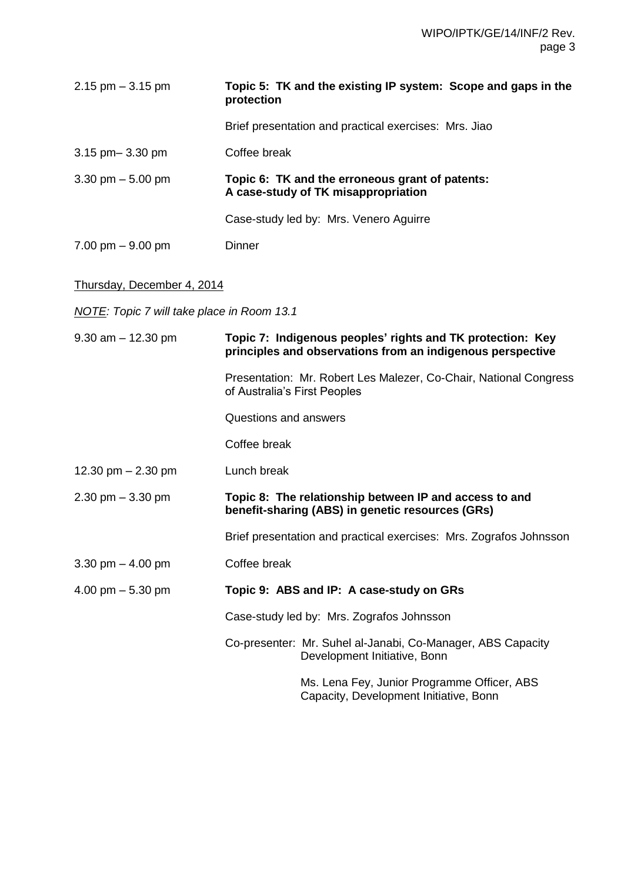| $2.15$ pm $-3.15$ pm                | Topic 5: TK and the existing IP system: Scope and gaps in the<br>protection            |
|-------------------------------------|----------------------------------------------------------------------------------------|
|                                     | Brief presentation and practical exercises: Mrs. Jiao                                  |
| $3.15$ pm $-3.30$ pm                | Coffee break                                                                           |
| 3.30 pm $-5.00$ pm                  | Topic 6: TK and the erroneous grant of patents:<br>A case-study of TK misappropriation |
|                                     | Case-study led by: Mrs. Venero Aguirre                                                 |
| $7.00 \text{ pm} - 9.00 \text{ pm}$ | Dinner                                                                                 |

## Thursday, December 4, 2014

*NOTE: Topic 7 will take place in Room 13.1*

| $9.30$ am $-12.30$ pm | Topic 7: Indigenous peoples' rights and TK protection: Key<br>principles and observations from an indigenous perspective |
|-----------------------|--------------------------------------------------------------------------------------------------------------------------|
|                       | Presentation: Mr. Robert Les Malezer, Co-Chair, National Congress<br>of Australia's First Peoples                        |
|                       | Questions and answers                                                                                                    |
|                       | Coffee break                                                                                                             |
| 12.30 pm $- 2.30$ pm  | Lunch break                                                                                                              |
| $2.30$ pm $-3.30$ pm  | Topic 8: The relationship between IP and access to and<br>benefit-sharing (ABS) in genetic resources (GRs)               |
|                       | Brief presentation and practical exercises: Mrs. Zografos Johnsson                                                       |
| 3.30 pm $-$ 4.00 pm   | Coffee break                                                                                                             |
| 4.00 pm $-$ 5.30 pm   | Topic 9: ABS and IP: A case-study on GRs                                                                                 |
|                       | Case-study led by: Mrs. Zografos Johnsson                                                                                |
|                       | Co-presenter: Mr. Suhel al-Janabi, Co-Manager, ABS Capacity<br>Development Initiative, Bonn                              |
|                       | Ms. Lena Fey, Junior Programme Officer, ABS<br>Capacity, Development Initiative, Bonn                                    |